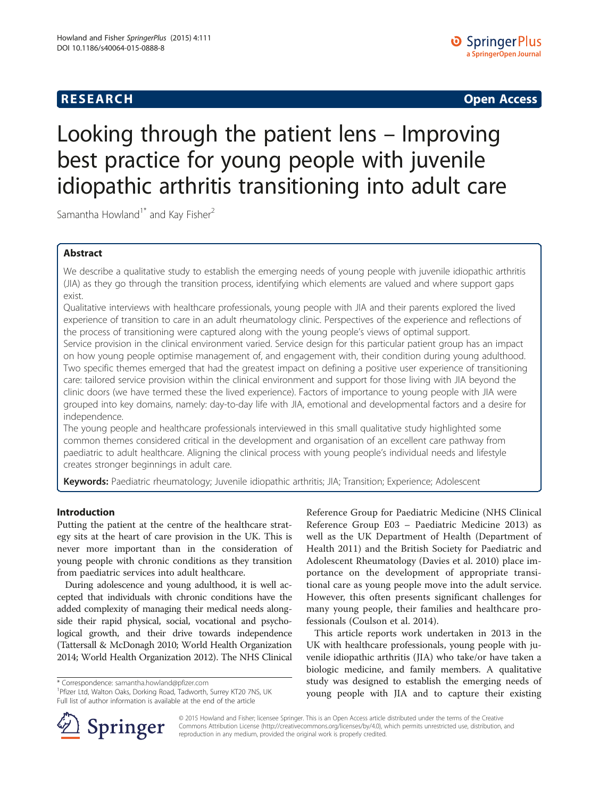# **RESEARCH CHINESE ARCH CHINESE ARCH CHINESE ARCH <b>CHINESE ARCH**

# Looking through the patient lens – Improving best practice for young people with juvenile idiopathic arthritis transitioning into adult care

Samantha Howland<sup>1\*</sup> and Kay Fisher<sup>2</sup>

# Abstract

We describe a qualitative study to establish the emerging needs of young people with juvenile idiopathic arthritis (JIA) as they go through the transition process, identifying which elements are valued and where support gaps exist.

Qualitative interviews with healthcare professionals, young people with JIA and their parents explored the lived experience of transition to care in an adult rheumatology clinic. Perspectives of the experience and reflections of the process of transitioning were captured along with the young people's views of optimal support.

Service provision in the clinical environment varied. Service design for this particular patient group has an impact on how young people optimise management of, and engagement with, their condition during young adulthood. Two specific themes emerged that had the greatest impact on defining a positive user experience of transitioning care: tailored service provision within the clinical environment and support for those living with JIA beyond the clinic doors (we have termed these the lived experience). Factors of importance to young people with JIA were grouped into key domains, namely: day-to-day life with JIA, emotional and developmental factors and a desire for independence.

The young people and healthcare professionals interviewed in this small qualitative study highlighted some common themes considered critical in the development and organisation of an excellent care pathway from paediatric to adult healthcare. Aligning the clinical process with young people's individual needs and lifestyle creates stronger beginnings in adult care.

Keywords: Paediatric rheumatology; Juvenile idiopathic arthritis; JIA; Transition; Experience; Adolescent

# Introduction

Putting the patient at the centre of the healthcare strategy sits at the heart of care provision in the UK. This is never more important than in the consideration of young people with chronic conditions as they transition from paediatric services into adult healthcare.

During adolescence and young adulthood, it is well accepted that individuals with chronic conditions have the added complexity of managing their medical needs alongside their rapid physical, social, vocational and psychological growth, and their drive towards independence (Tattersall & McDonagh [2010](#page-4-0); World Health Organization [2014;](#page-4-0) World Health Organization [2012\)](#page-4-0). The NHS Clinical

\* Correspondence: [samantha.howland@pfizer.com](mailto:samantha.howland@pfizer.com) <sup>1</sup>

<sup>1</sup> Pfizer Ltd, Walton Oaks, Dorking Road, Tadworth, Surrey KT20 7NS, UK Full list of author information is available at the end of the article



This article reports work undertaken in 2013 in the UK with healthcare professionals, young people with juvenile idiopathic arthritis (JIA) who take/or have taken a biologic medicine, and family members. A qualitative study was designed to establish the emerging needs of young people with JIA and to capture their existing



© 2015 Howland and Fisher; licensee Springer. This is an Open Access article distributed under the terms of the Creative Commons Attribution License (<http://creativecommons.org/licenses/by/4.0>), which permits unrestricted use, distribution, and reproduction in any medium, provided the original work is properly credited.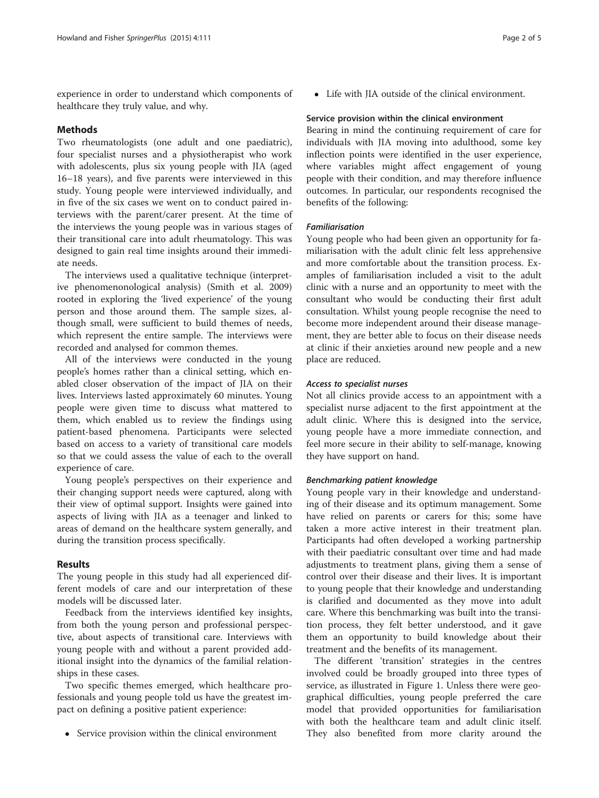experience in order to understand which components of healthcare they truly value, and why.

# Methods

Two rheumatologists (one adult and one paediatric), four specialist nurses and a physiotherapist who work with adolescents, plus six young people with JIA (aged 16–18 years), and five parents were interviewed in this study. Young people were interviewed individually, and in five of the six cases we went on to conduct paired interviews with the parent/carer present. At the time of the interviews the young people was in various stages of their transitional care into adult rheumatology. This was designed to gain real time insights around their immediate needs.

The interviews used a qualitative technique (interpretive phenomenonological analysis) (Smith et al. [2009](#page-4-0)) rooted in exploring the 'lived experience' of the young person and those around them. The sample sizes, although small, were sufficient to build themes of needs, which represent the entire sample. The interviews were recorded and analysed for common themes.

All of the interviews were conducted in the young people's homes rather than a clinical setting, which enabled closer observation of the impact of JIA on their lives. Interviews lasted approximately 60 minutes. Young people were given time to discuss what mattered to them, which enabled us to review the findings using patient-based phenomena. Participants were selected based on access to a variety of transitional care models so that we could assess the value of each to the overall experience of care.

Young people's perspectives on their experience and their changing support needs were captured, along with their view of optimal support. Insights were gained into aspects of living with JIA as a teenager and linked to areas of demand on the healthcare system generally, and during the transition process specifically.

# Results

The young people in this study had all experienced different models of care and our interpretation of these models will be discussed later.

Feedback from the interviews identified key insights, from both the young person and professional perspective, about aspects of transitional care. Interviews with young people with and without a parent provided additional insight into the dynamics of the familial relationships in these cases.

Two specific themes emerged, which healthcare professionals and young people told us have the greatest impact on defining a positive patient experience:

Service provision within the clinical environment

Life with JIA outside of the clinical environment.

# Service provision within the clinical environment

Bearing in mind the continuing requirement of care for individuals with JIA moving into adulthood, some key inflection points were identified in the user experience, where variables might affect engagement of young people with their condition, and may therefore influence outcomes. In particular, our respondents recognised the benefits of the following:

# Familiarisation

Young people who had been given an opportunity for familiarisation with the adult clinic felt less apprehensive and more comfortable about the transition process. Examples of familiarisation included a visit to the adult clinic with a nurse and an opportunity to meet with the consultant who would be conducting their first adult consultation. Whilst young people recognise the need to become more independent around their disease management, they are better able to focus on their disease needs at clinic if their anxieties around new people and a new place are reduced.

# Access to specialist nurses

Not all clinics provide access to an appointment with a specialist nurse adjacent to the first appointment at the adult clinic. Where this is designed into the service, young people have a more immediate connection, and feel more secure in their ability to self-manage, knowing they have support on hand.

# Benchmarking patient knowledge

Young people vary in their knowledge and understanding of their disease and its optimum management. Some have relied on parents or carers for this; some have taken a more active interest in their treatment plan. Participants had often developed a working partnership with their paediatric consultant over time and had made adjustments to treatment plans, giving them a sense of control over their disease and their lives. It is important to young people that their knowledge and understanding is clarified and documented as they move into adult care. Where this benchmarking was built into the transition process, they felt better understood, and it gave them an opportunity to build knowledge about their treatment and the benefits of its management.

The different 'transition' strategies in the centres involved could be broadly grouped into three types of service, as illustrated in Figure [1.](#page-2-0) Unless there were geographical difficulties, young people preferred the care model that provided opportunities for familiarisation with both the healthcare team and adult clinic itself. They also benefited from more clarity around the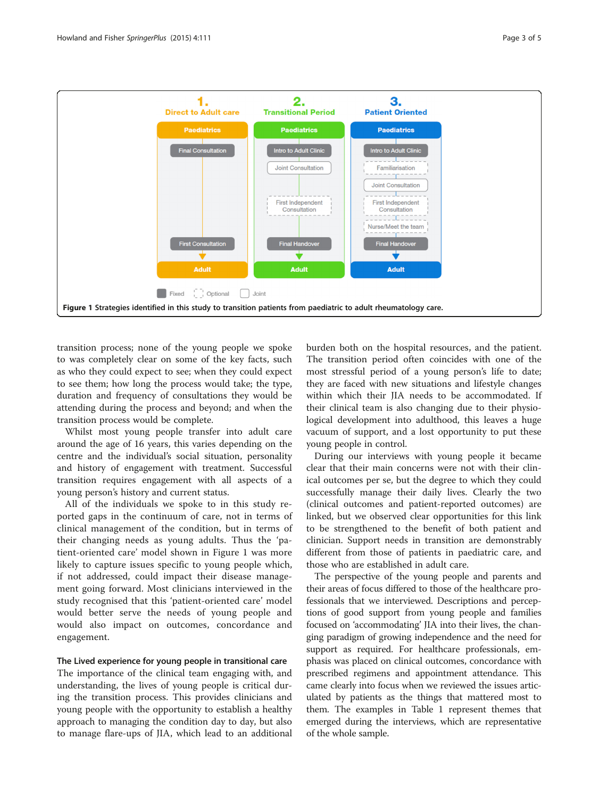<span id="page-2-0"></span>

transition process; none of the young people we spoke to was completely clear on some of the key facts, such as who they could expect to see; when they could expect to see them; how long the process would take; the type, duration and frequency of consultations they would be attending during the process and beyond; and when the transition process would be complete.

Whilst most young people transfer into adult care around the age of 16 years, this varies depending on the centre and the individual's social situation, personality and history of engagement with treatment. Successful transition requires engagement with all aspects of a young person's history and current status.

All of the individuals we spoke to in this study reported gaps in the continuum of care, not in terms of clinical management of the condition, but in terms of their changing needs as young adults. Thus the 'patient-oriented care' model shown in Figure 1 was more likely to capture issues specific to young people which, if not addressed, could impact their disease management going forward. Most clinicians interviewed in the study recognised that this 'patient-oriented care' model would better serve the needs of young people and would also impact on outcomes, concordance and engagement.

#### The Lived experience for young people in transitional care

The importance of the clinical team engaging with, and understanding, the lives of young people is critical during the transition process. This provides clinicians and young people with the opportunity to establish a healthy approach to managing the condition day to day, but also to manage flare-ups of JIA, which lead to an additional

burden both on the hospital resources, and the patient. The transition period often coincides with one of the most stressful period of a young person's life to date; they are faced with new situations and lifestyle changes within which their JIA needs to be accommodated. If their clinical team is also changing due to their physiological development into adulthood, this leaves a huge vacuum of support, and a lost opportunity to put these young people in control.

During our interviews with young people it became clear that their main concerns were not with their clinical outcomes per se, but the degree to which they could successfully manage their daily lives. Clearly the two (clinical outcomes and patient-reported outcomes) are linked, but we observed clear opportunities for this link to be strengthened to the benefit of both patient and clinician. Support needs in transition are demonstrably different from those of patients in paediatric care, and those who are established in adult care.

The perspective of the young people and parents and their areas of focus differed to those of the healthcare professionals that we interviewed. Descriptions and perceptions of good support from young people and families focused on 'accommodating' JIA into their lives, the changing paradigm of growing independence and the need for support as required. For healthcare professionals, emphasis was placed on clinical outcomes, concordance with prescribed regimens and appointment attendance. This came clearly into focus when we reviewed the issues articulated by patients as the things that mattered most to them. The examples in Table [1](#page-3-0) represent themes that emerged during the interviews, which are representative of the whole sample.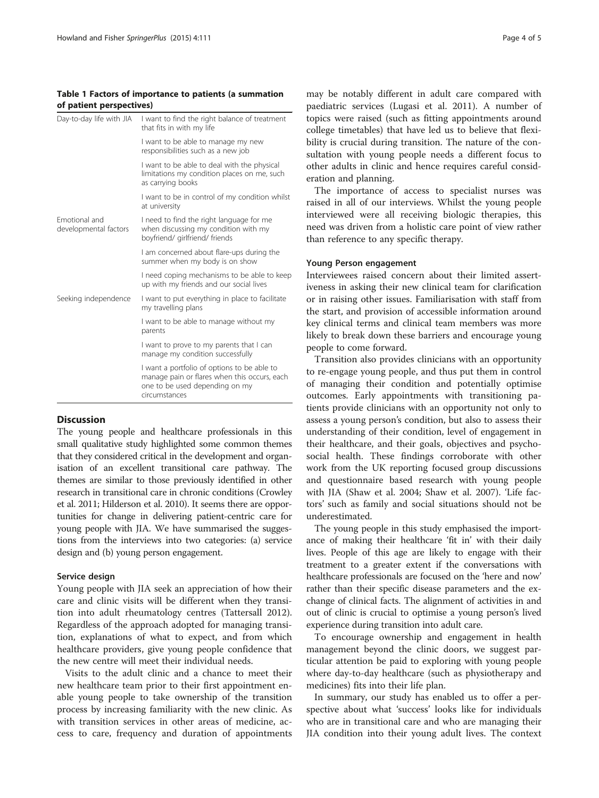#### <span id="page-3-0"></span>Table 1 Factors of importance to patients (a summation of patient perspectives)

| Day-to-day life with JIA                      | I want to find the right balance of treatment<br>that fits in with my life                                                                     |
|-----------------------------------------------|------------------------------------------------------------------------------------------------------------------------------------------------|
|                                               | I want to be able to manage my new<br>responsibilities such as a new job                                                                       |
|                                               | I want to be able to deal with the physical<br>limitations my condition places on me, such<br>as carrying books                                |
|                                               | I want to be in control of my condition whilst<br>at university                                                                                |
| <b>Emotional and</b><br>developmental factors | I need to find the right language for me<br>when discussing my condition with my<br>boyfriend/ girlfriend/ friends                             |
|                                               | I am concerned about flare-ups during the<br>summer when my body is on show                                                                    |
|                                               | I need coping mechanisms to be able to keep<br>up with my friends and our social lives                                                         |
| Seeking independence                          | I want to put everything in place to facilitate<br>my travelling plans                                                                         |
|                                               | I want to be able to manage without my<br>parents                                                                                              |
|                                               | I want to prove to my parents that I can<br>manage my condition successfully                                                                   |
|                                               | I want a portfolio of options to be able to<br>manage pain or flares when this occurs, each<br>one to be used depending on my<br>circumstances |

# **Discussion**

The young people and healthcare professionals in this small qualitative study highlighted some common themes that they considered critical in the development and organisation of an excellent transitional care pathway. The themes are similar to those previously identified in other research in transitional care in chronic conditions (Crowley et al. [2011;](#page-4-0) Hilderson et al. [2010](#page-4-0)). It seems there are opportunities for change in delivering patient-centric care for young people with JIA. We have summarised the suggestions from the interviews into two categories: (a) service design and (b) young person engagement.

#### Service design

Young people with JIA seek an appreciation of how their care and clinic visits will be different when they transition into adult rheumatology centres (Tattersall [2012](#page-4-0)). Regardless of the approach adopted for managing transition, explanations of what to expect, and from which healthcare providers, give young people confidence that the new centre will meet their individual needs.

Visits to the adult clinic and a chance to meet their new healthcare team prior to their first appointment enable young people to take ownership of the transition process by increasing familiarity with the new clinic. As with transition services in other areas of medicine, access to care, frequency and duration of appointments

may be notably different in adult care compared with paediatric services (Lugasi et al. [2011\)](#page-4-0). A number of topics were raised (such as fitting appointments around college timetables) that have led us to believe that flexibility is crucial during transition. The nature of the consultation with young people needs a different focus to other adults in clinic and hence requires careful consideration and planning.

The importance of access to specialist nurses was raised in all of our interviews. Whilst the young people interviewed were all receiving biologic therapies, this need was driven from a holistic care point of view rather than reference to any specific therapy.

#### Young Person engagement

Interviewees raised concern about their limited assertiveness in asking their new clinical team for clarification or in raising other issues. Familiarisation with staff from the start, and provision of accessible information around key clinical terms and clinical team members was more likely to break down these barriers and encourage young people to come forward.

Transition also provides clinicians with an opportunity to re-engage young people, and thus put them in control of managing their condition and potentially optimise outcomes. Early appointments with transitioning patients provide clinicians with an opportunity not only to assess a young person's condition, but also to assess their understanding of their condition, level of engagement in their healthcare, and their goals, objectives and psychosocial health. These findings corroborate with other work from the UK reporting focused group discussions and questionnaire based research with young people with JIA (Shaw et al. [2004;](#page-4-0) Shaw et al. [2007\)](#page-4-0). 'Life factors' such as family and social situations should not be underestimated.

The young people in this study emphasised the importance of making their healthcare 'fit in' with their daily lives. People of this age are likely to engage with their treatment to a greater extent if the conversations with healthcare professionals are focused on the 'here and now' rather than their specific disease parameters and the exchange of clinical facts. The alignment of activities in and out of clinic is crucial to optimise a young person's lived experience during transition into adult care.

To encourage ownership and engagement in health management beyond the clinic doors, we suggest particular attention be paid to exploring with young people where day-to-day healthcare (such as physiotherapy and medicines) fits into their life plan.

In summary, our study has enabled us to offer a perspective about what 'success' looks like for individuals who are in transitional care and who are managing their JIA condition into their young adult lives. The context